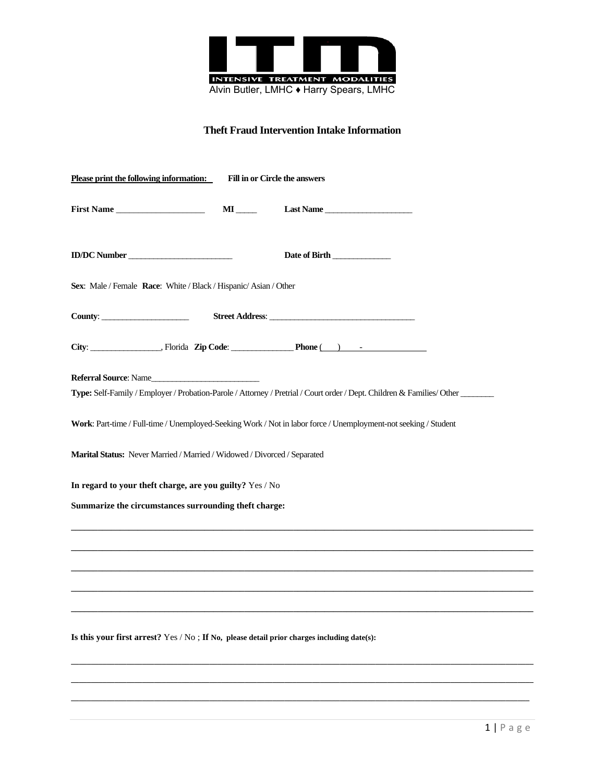

## **Theft Fraud Intervention Intake Information**

| Please print the following information:                                                    | <b>Fill in or Circle the answers</b> |                                                                                                                         |
|--------------------------------------------------------------------------------------------|--------------------------------------|-------------------------------------------------------------------------------------------------------------------------|
| First Name                                                                                 | $\mathbf{M}$                         | Last Name                                                                                                               |
| ID/DC Number                                                                               |                                      | Date of Birth                                                                                                           |
| Sex: Male / Female Race: White / Black / Hispanic/ Asian / Other                           |                                      |                                                                                                                         |
| County:                                                                                    |                                      |                                                                                                                         |
|                                                                                            |                                      | City: $\qquad \qquad \qquad \text{. Florida} \quad \text{Zip Code:} \qquad \qquad \text{Phone} \qquad \qquad \text{).}$ |
| <b>Referral Source:</b> Name                                                               |                                      | Type: Self-Family / Employer / Probation-Parole / Attorney / Pretrial / Court order / Dept. Children & Families/ Other  |
|                                                                                            |                                      | Work: Part-time / Full-time / Unemployed-Seeking Work / Not in labor force / Unemployment-not seeking / Student         |
| Marital Status: Never Married / Married / Widowed / Divorced / Separated                   |                                      |                                                                                                                         |
| In regard to your theft charge, are you guilty? Yes / No                                   |                                      |                                                                                                                         |
| Summarize the circumstances surrounding theft charge:                                      |                                      |                                                                                                                         |
|                                                                                            |                                      |                                                                                                                         |
|                                                                                            |                                      |                                                                                                                         |
|                                                                                            |                                      |                                                                                                                         |
| Is this your first arrest? Yes / No; If No, please detail prior charges including date(s): |                                      |                                                                                                                         |
|                                                                                            |                                      |                                                                                                                         |

**\_\_\_\_\_\_\_\_\_\_\_\_\_\_\_\_\_\_\_\_\_\_\_\_\_\_\_\_\_\_\_\_\_\_\_\_\_\_\_\_\_\_\_\_\_\_\_\_\_\_\_\_\_\_\_\_\_\_\_\_\_\_\_\_\_\_\_\_\_\_\_\_\_\_\_\_\_\_\_\_\_\_\_\_\_\_\_\_\_\_\_\_\_\_\_\_\_\_\_\_\_\_\_\_\_\_\_\_\_\_\_\_\_\_\_\_**